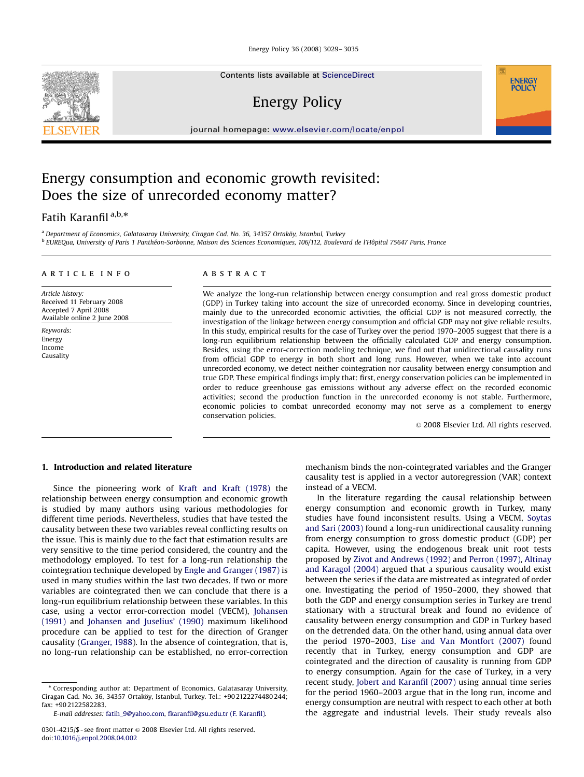Energy Policy 36 (2008) 3029– 3035

Contents lists available at [ScienceDirect](www.sciencedirect.com/science/journal/jepo)

Energy Policy

journal homepage: <www.elsevier.com/locate/enpol>

## Energy consumption and economic growth revisited: Does the size of unrecorded economy matter?

## Fatih Karanfil <sup>a,b,</sup>\*

a Department of Economics, Galatasaray University, Ciragan Cad. No. 36, 34357 Ortaköy, Istanbul, Turkey <sup>b</sup> EUREQua, University of Paris 1 Panthéon-Sorbonne, Maison des Sciences Economiques, 106/112, Boulevard de l'Hôpital 75647 Paris, France

#### article info

Article history: Received 11 February 2008 Accepted 7 April 2008 Available online 2 June 2008

Keywords: Energy Income Causality

#### ABSTRACT

We analyze the long-run relationship between energy consumption and real gross domestic product (GDP) in Turkey taking into account the size of unrecorded economy. Since in developing countries, mainly due to the unrecorded economic activities, the official GDP is not measured correctly, the investigation of the linkage between energy consumption and official GDP may not give reliable results. In this study, empirical results for the case of Turkey over the period 1970–2005 suggest that there is a long-run equilibrium relationship between the officially calculated GDP and energy consumption. Besides, using the error-correction modeling technique, we find out that unidirectional causality runs from official GDP to energy in both short and long runs. However, when we take into account unrecorded economy, we detect neither cointegration nor causality between energy consumption and true GDP. These empirical findings imply that: first, energy conservation policies can be implemented in order to reduce greenhouse gas emissions without any adverse effect on the recorded economic activities; second the production function in the unrecorded economy is not stable. Furthermore, economic policies to combat unrecorded economy may not serve as a complement to energy conservation policies.

 $\odot$  2008 Elsevier Ltd. All rights reserved.

**ENERGY** 

### 1. Introduction and related literature

Since the pioneering work of [Kraft and Kraft \(1978\)](#page--1-0) the relationship between energy consumption and economic growth is studied by many authors using various methodologies for different time periods. Nevertheless, studies that have tested the causality between these two variables reveal conflicting results on the issue. This is mainly due to the fact that estimation results are very sensitive to the time period considered, the country and the methodology employed. To test for a long-run relationship the cointegration technique developed by [Engle and Granger \(1987\)](#page--1-0) is used in many studies within the last two decades. If two or more variables are cointegrated then we can conclude that there is a long-run equilibrium relationship between these variables. In this case, using a vector error-correction model (VECM), [Johansen](#page--1-0) [\(1991\)](#page--1-0) and [Johansen and Juselius' \(1990\)](#page--1-0) maximum likelihood procedure can be applied to test for the direction of Granger causality [\(Granger, 1988](#page--1-0)). In the absence of cointegration, that is, no long-run relationship can be established, no error-correction

mechanism binds the non-cointegrated variables and the Granger causality test is applied in a vector autoregression (VAR) context instead of a VECM.

In the literature regarding the causal relationship between energy consumption and economic growth in Turkey, many studies have found inconsistent results. Using a VECM, [Soytas](#page--1-0) [and Sari \(2003\)](#page--1-0) found a long-run unidirectional causality running from energy consumption to gross domestic product (GDP) per capita. However, using the endogenous break unit root tests proposed by [Zivot and Andrews \(1992\)](#page--1-0) and [Perron \(1997\),](#page--1-0) [Altinay](#page--1-0) [and Karagol \(2004\)](#page--1-0) argued that a spurious causality would exist between the series if the data are mistreated as integrated of order one. Investigating the period of 1950–2000, they showed that both the GDP and energy consumption series in Turkey are trend stationary with a structural break and found no evidence of causality between energy consumption and GDP in Turkey based on the detrended data. On the other hand, using annual data over the period 1970–2003, [Lise and Van Montfort \(2007\)](#page--1-0) found recently that in Turkey, energy consumption and GDP are cointegrated and the direction of causality is running from GDP to energy consumption. Again for the case of Turkey, in a very recent study, [Jobert and Karanfil \(2007\)](#page--1-0) using annual time series for the period 1960–2003 argue that in the long run, income and energy consumption are neutral with respect to each other at both the aggregate and industrial levels. Their study reveals also



<sup>-</sup> Corresponding author at: Department of Economics, Galatasaray University, Ciragan Cad. No. 36, 34357 Ortaköy, Istanbul, Turkey. Tel.: +90 2122274480 244; fax: +90 2122582283.

E-mail addresses: [fatih\\_9@yahoo.com,](mailto:fatih_9@yahoo.com,) [fkaranfil@gsu.edu.tr \(F. Karanfil\)](mailto:fkaranfil@gsu.edu.tr).

<sup>0301-4215/\$ -</sup> see front matter  $\circ$  2008 Elsevier Ltd. All rights reserved. doi:[10.1016/j.enpol.2008.04.002](dx.doi.org/10.1016/j.enpol.2008.04.002)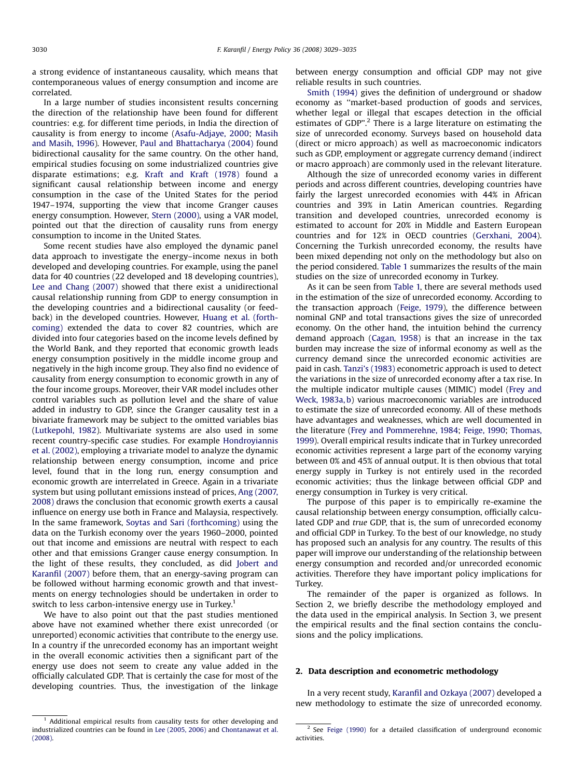a strong evidence of instantaneous causality, which means that contemporaneous values of energy consumption and income are correlated.

In a large number of studies inconsistent results concerning the direction of the relationship have been found for different countries: e.g. for different time periods, in India the direction of causality is from energy to income [\(Asafu-Adjaye, 2000;](#page--1-0) [Masih](#page--1-0) [and Masih, 1996](#page--1-0)). However, [Paul and Bhattacharya \(2004\)](#page--1-0) found bidirectional causality for the same country. On the other hand, empirical studies focusing on some industrialized countries give disparate estimations; e.g. [Kraft and Kraft \(1978\)](#page--1-0) found a significant causal relationship between income and energy consumption in the case of the United States for the period 1947–1974, supporting the view that income Granger causes energy consumption. However, [Stern \(2000\)](#page--1-0), using a VAR model, pointed out that the direction of causality runs from energy consumption to income in the United States.

Some recent studies have also employed the dynamic panel data approach to investigate the energy–income nexus in both developed and developing countries. For example, using the panel data for 40 countries (22 developed and 18 developing countries), [Lee and Chang \(2007\)](#page--1-0) showed that there exist a unidirectional causal relationship running from GDP to energy consumption in the developing countries and a bidirectional causality (or feedback) in the developed countries. However, [Huang et al. \(forth](#page--1-0)[coming\)](#page--1-0) extended the data to cover 82 countries, which are divided into four categories based on the income levels defined by the World Bank, and they reported that economic growth leads energy consumption positively in the middle income group and negatively in the high income group. They also find no evidence of causality from energy consumption to economic growth in any of the four income groups. Moreover, their VAR model includes other control variables such as pollution level and the share of value added in industry to GDP, since the Granger causality test in a bivariate framework may be subject to the omitted variables bias ([Lutkepohl, 1982](#page--1-0)). Multivariate systems are also used in some recent country-specific case studies. For example [Hondroyiannis](#page--1-0) [et al. \(2002\),](#page--1-0) employing a trivariate model to analyze the dynamic relationship between energy consumption, income and price level, found that in the long run, energy consumption and economic growth are interrelated in Greece. Again in a trivariate system but using pollutant emissions instead of prices, [Ang \(2007,](#page--1-0) [2008\)](#page--1-0) draws the conclusion that economic growth exerts a causal influence on energy use both in France and Malaysia, respectively. In the same framework, [Soytas and Sari \(forthcoming\)](#page--1-0) using the data on the Turkish economy over the years 1960–2000, pointed out that income and emissions are neutral with respect to each other and that emissions Granger cause energy consumption. In the light of these results, they concluded, as did [Jobert and](#page--1-0) [Karanfil \(2007\)](#page--1-0) before them, that an energy-saving program can be followed without harming economic growth and that investments on energy technologies should be undertaken in order to switch to less carbon-intensive energy use in Turkey.<sup>1</sup>

We have to also point out that the past studies mentioned above have not examined whether there exist unrecorded (or unreported) economic activities that contribute to the energy use. In a country if the unrecorded economy has an important weight in the overall economic activities then a significant part of the energy use does not seem to create any value added in the officially calculated GDP. That is certainly the case for most of the developing countries. Thus, the investigation of the linkage between energy consumption and official GDP may not give reliable results in such countries.

[Smith \(1994\)](#page--1-0) gives the definition of underground or shadow economy as ''market-based production of goods and services, whether legal or illegal that escapes detection in the official estimates of GDP".<sup>2</sup> There is a large literature on estimating the size of unrecorded economy. Surveys based on household data (direct or micro approach) as well as macroeconomic indicators such as GDP, employment or aggregate currency demand (indirect or macro approach) are commonly used in the relevant literature.

Although the size of unrecorded economy varies in different periods and across different countries, developing countries have fairly the largest unrecorded economies with 44% in African countries and 39% in Latin American countries. Regarding transition and developed countries, unrecorded economy is estimated to account for 20% in Middle and Eastern European countries and for 12% in OECD countries ([Gerxhani, 2004\)](#page--1-0). Concerning the Turkish unrecorded economy, the results have been mixed depending not only on the methodology but also on the period considered. [Table 1](#page--1-0) summarizes the results of the main studies on the size of unrecorded economy in Turkey.

As it can be seen from [Table 1,](#page--1-0) there are several methods used in the estimation of the size of unrecorded economy. According to the transaction approach [\(Feige, 1979\)](#page--1-0), the difference between nominal GNP and total transactions gives the size of unrecorded economy. On the other hand, the intuition behind the currency demand approach [\(Cagan, 1958](#page--1-0)) is that an increase in the tax burden may increase the size of informal economy as well as the currency demand since the unrecorded economic activities are paid in cash. [Tanzi's \(1983\)](#page--1-0) econometric approach is used to detect the variations in the size of unrecorded economy after a tax rise. In the multiple indicator multiple causes (MIMIC) model [\(Frey and](#page--1-0) [Weck, 1983a, b](#page--1-0)) various macroeconomic variables are introduced to estimate the size of unrecorded economy. All of these methods have advantages and weaknesses, which are well documented in the literature [\(Frey and Pommerehne, 1984](#page--1-0); [Feige, 1990](#page--1-0); [Thomas,](#page--1-0) [1999](#page--1-0)). Overall empirical results indicate that in Turkey unrecorded economic activities represent a large part of the economy varying between 0% and 45% of annual output. It is then obvious that total energy supply in Turkey is not entirely used in the recorded economic activities; thus the linkage between official GDP and energy consumption in Turkey is very critical.

The purpose of this paper is to empirically re-examine the causal relationship between energy consumption, officially calculated GDP and true GDP, that is, the sum of unrecorded economy and official GDP in Turkey. To the best of our knowledge, no study has proposed such an analysis for any country. The results of this paper will improve our understanding of the relationship between energy consumption and recorded and/or unrecorded economic activities. Therefore they have important policy implications for Turkey.

The remainder of the paper is organized as follows. In Section 2, we briefly describe the methodology employed and the data used in the empirical analysis. In Section 3, we present the empirical results and the final section contains the conclusions and the policy implications.

#### 2. Data description and econometric methodology

In a very recent study, [Karanfil and Ozkaya \(2007\)](#page--1-0) developed a new methodology to estimate the size of unrecorded economy.

 $1$  Additional empirical results from causality tests for other developing and industrialized countries can be found in [Lee \(2005, 2006\)](#page--1-0) and [Chontanawat et al.](#page--1-0) [\(2008\)](#page--1-0).

<sup>&</sup>lt;sup>2</sup> See [Feige \(1990\)](#page--1-0) for a detailed classification of underground economic activities.